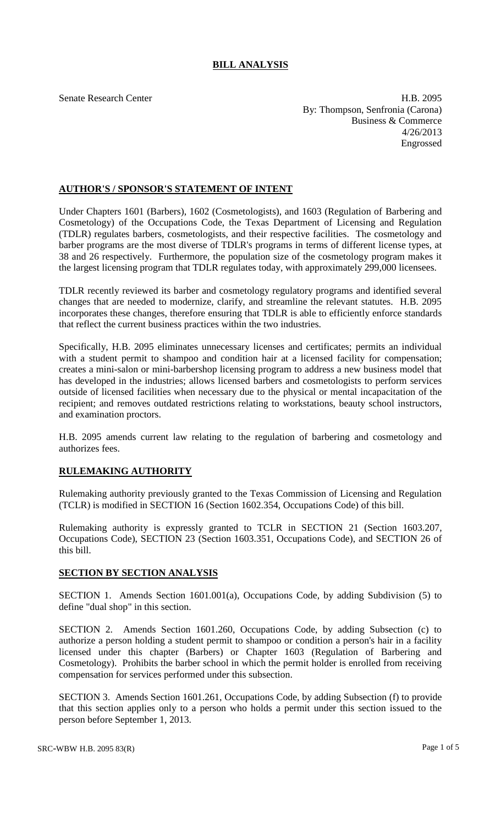## **BILL ANALYSIS**

Senate Research Center **H.B. 2095** By: Thompson, Senfronia (Carona) Business & Commerce 4/26/2013 Engrossed

## **AUTHOR'S / SPONSOR'S STATEMENT OF INTENT**

Under Chapters 1601 (Barbers), 1602 (Cosmetologists), and 1603 (Regulation of Barbering and Cosmetology) of the Occupations Code, the Texas Department of Licensing and Regulation (TDLR) regulates barbers, cosmetologists, and their respective facilities. The cosmetology and barber programs are the most diverse of TDLR's programs in terms of different license types, at 38 and 26 respectively. Furthermore, the population size of the cosmetology program makes it the largest licensing program that TDLR regulates today, with approximately 299,000 licensees.

TDLR recently reviewed its barber and cosmetology regulatory programs and identified several changes that are needed to modernize, clarify, and streamline the relevant statutes. H.B. 2095 incorporates these changes, therefore ensuring that TDLR is able to efficiently enforce standards that reflect the current business practices within the two industries.

Specifically, H.B. 2095 eliminates unnecessary licenses and certificates; permits an individual with a student permit to shampoo and condition hair at a licensed facility for compensation; creates a mini-salon or mini-barbershop licensing program to address a new business model that has developed in the industries; allows licensed barbers and cosmetologists to perform services outside of licensed facilities when necessary due to the physical or mental incapacitation of the recipient; and removes outdated restrictions relating to workstations, beauty school instructors, and examination proctors.

H.B. 2095 amends current law relating to the regulation of barbering and cosmetology and authorizes fees.

## **RULEMAKING AUTHORITY**

Rulemaking authority previously granted to the Texas Commission of Licensing and Regulation (TCLR) is modified in SECTION 16 (Section 1602.354, Occupations Code) of this bill.

Rulemaking authority is expressly granted to TCLR in SECTION 21 (Section 1603.207, Occupations Code), SECTION 23 (Section 1603.351, Occupations Code), and SECTION 26 of this bill.

## **SECTION BY SECTION ANALYSIS**

SECTION 1. Amends Section 1601.001(a), Occupations Code, by adding Subdivision (5) to define "dual shop" in this section.

SECTION 2. Amends Section 1601.260, Occupations Code, by adding Subsection (c) to authorize a person holding a student permit to shampoo or condition a person's hair in a facility licensed under this chapter (Barbers) or Chapter 1603 (Regulation of Barbering and Cosmetology). Prohibits the barber school in which the permit holder is enrolled from receiving compensation for services performed under this subsection.

SECTION 3. Amends Section 1601.261, Occupations Code, by adding Subsection (f) to provide that this section applies only to a person who holds a permit under this section issued to the person before September 1, 2013.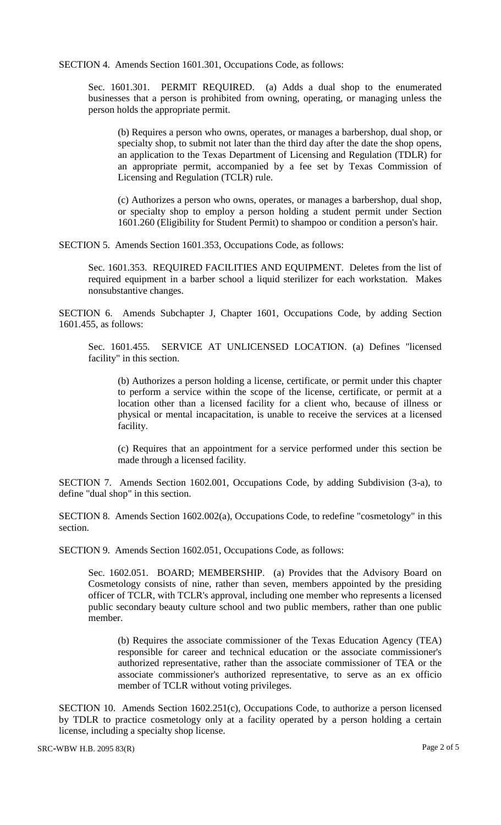SECTION 4. Amends Section 1601.301, Occupations Code, as follows:

Sec. 1601.301. PERMIT REQUIRED. (a) Adds a dual shop to the enumerated businesses that a person is prohibited from owning, operating, or managing unless the person holds the appropriate permit.

(b) Requires a person who owns, operates, or manages a barbershop, dual shop, or specialty shop, to submit not later than the third day after the date the shop opens, an application to the Texas Department of Licensing and Regulation (TDLR) for an appropriate permit, accompanied by a fee set by Texas Commission of Licensing and Regulation (TCLR) rule.

(c) Authorizes a person who owns, operates, or manages a barbershop, dual shop, or specialty shop to employ a person holding a student permit under Section 1601.260 (Eligibility for Student Permit) to shampoo or condition a person's hair.

SECTION 5. Amends Section 1601.353, Occupations Code, as follows:

Sec. 1601.353. REQUIRED FACILITIES AND EQUIPMENT. Deletes from the list of required equipment in a barber school a liquid sterilizer for each workstation. Makes nonsubstantive changes.

SECTION 6. Amends Subchapter J, Chapter 1601, Occupations Code, by adding Section 1601.455, as follows:

Sec. 1601.455. SERVICE AT UNLICENSED LOCATION. (a) Defines "licensed facility" in this section.

(b) Authorizes a person holding a license, certificate, or permit under this chapter to perform a service within the scope of the license, certificate, or permit at a location other than a licensed facility for a client who, because of illness or physical or mental incapacitation, is unable to receive the services at a licensed facility.

(c) Requires that an appointment for a service performed under this section be made through a licensed facility.

SECTION 7. Amends Section 1602.001, Occupations Code, by adding Subdivision (3-a), to define "dual shop" in this section.

SECTION 8. Amends Section 1602.002(a), Occupations Code, to redefine "cosmetology" in this section.

SECTION 9. Amends Section 1602.051, Occupations Code, as follows:

Sec. 1602.051. BOARD; MEMBERSHIP. (a) Provides that the Advisory Board on Cosmetology consists of nine, rather than seven, members appointed by the presiding officer of TCLR, with TCLR's approval, including one member who represents a licensed public secondary beauty culture school and two public members, rather than one public member.

(b) Requires the associate commissioner of the Texas Education Agency (TEA) responsible for career and technical education or the associate commissioner's authorized representative, rather than the associate commissioner of TEA or the associate commissioner's authorized representative, to serve as an ex officio member of TCLR without voting privileges.

SECTION 10. Amends Section 1602.251(c), Occupations Code, to authorize a person licensed by TDLR to practice cosmetology only at a facility operated by a person holding a certain license, including a specialty shop license.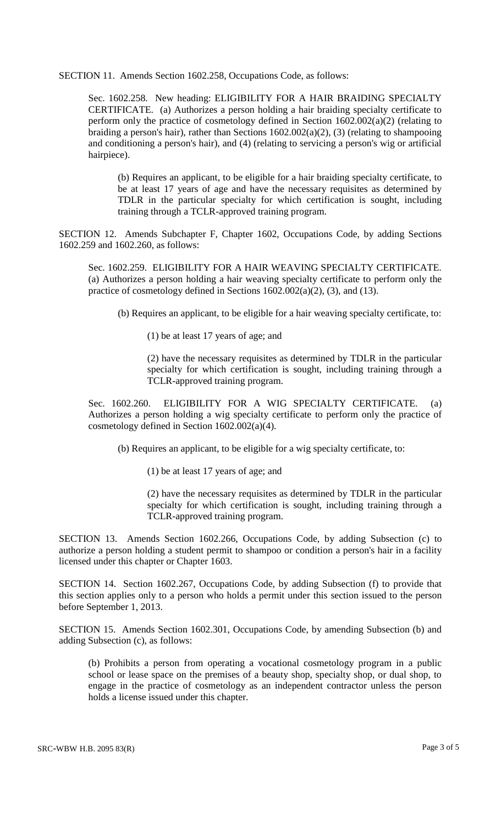SECTION 11. Amends Section 1602.258, Occupations Code, as follows:

Sec. 1602.258. New heading: ELIGIBILITY FOR A HAIR BRAIDING SPECIALTY CERTIFICATE. (a) Authorizes a person holding a hair braiding specialty certificate to perform only the practice of cosmetology defined in Section  $1602.002(a)(2)$  (relating to braiding a person's hair), rather than Sections  $1602.002(a)(2)$ , (3) (relating to shampooing and conditioning a person's hair), and (4) (relating to servicing a person's wig or artificial hairpiece).

(b) Requires an applicant, to be eligible for a hair braiding specialty certificate, to be at least 17 years of age and have the necessary requisites as determined by TDLR in the particular specialty for which certification is sought, including training through a TCLR-approved training program.

SECTION 12. Amends Subchapter F, Chapter 1602, Occupations Code, by adding Sections 1602.259 and 1602.260, as follows:

Sec. 1602.259. ELIGIBILITY FOR A HAIR WEAVING SPECIALTY CERTIFICATE. (a) Authorizes a person holding a hair weaving specialty certificate to perform only the practice of cosmetology defined in Sections 1602.002(a)(2), (3), and (13).

(b) Requires an applicant, to be eligible for a hair weaving specialty certificate, to:

(1) be at least 17 years of age; and

(2) have the necessary requisites as determined by TDLR in the particular specialty for which certification is sought, including training through a TCLR-approved training program.

Sec. 1602.260. ELIGIBILITY FOR A WIG SPECIALTY CERTIFICATE. (a) Authorizes a person holding a wig specialty certificate to perform only the practice of cosmetology defined in Section 1602.002(a)(4).

(b) Requires an applicant, to be eligible for a wig specialty certificate, to:

(1) be at least 17 years of age; and

(2) have the necessary requisites as determined by TDLR in the particular specialty for which certification is sought, including training through a TCLR-approved training program.

SECTION 13. Amends Section 1602.266, Occupations Code, by adding Subsection (c) to authorize a person holding a student permit to shampoo or condition a person's hair in a facility licensed under this chapter or Chapter 1603.

SECTION 14. Section 1602.267, Occupations Code, by adding Subsection (f) to provide that this section applies only to a person who holds a permit under this section issued to the person before September 1, 2013.

SECTION 15. Amends Section 1602.301, Occupations Code, by amending Subsection (b) and adding Subsection (c), as follows:

(b) Prohibits a person from operating a vocational cosmetology program in a public school or lease space on the premises of a beauty shop, specialty shop, or dual shop, to engage in the practice of cosmetology as an independent contractor unless the person holds a license issued under this chapter.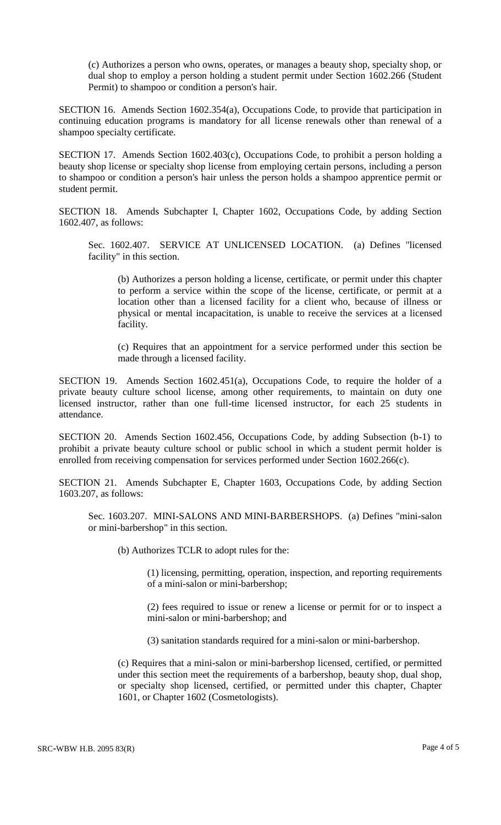(c) Authorizes a person who owns, operates, or manages a beauty shop, specialty shop, or dual shop to employ a person holding a student permit under Section 1602.266 (Student Permit) to shampoo or condition a person's hair.

SECTION 16. Amends Section 1602.354(a), Occupations Code, to provide that participation in continuing education programs is mandatory for all license renewals other than renewal of a shampoo specialty certificate.

SECTION 17. Amends Section 1602.403(c), Occupations Code, to prohibit a person holding a beauty shop license or specialty shop license from employing certain persons, including a person to shampoo or condition a person's hair unless the person holds a shampoo apprentice permit or student permit.

SECTION 18. Amends Subchapter I, Chapter 1602, Occupations Code, by adding Section 1602.407, as follows:

Sec. 1602.407. SERVICE AT UNLICENSED LOCATION. (a) Defines "licensed facility" in this section.

(b) Authorizes a person holding a license, certificate, or permit under this chapter to perform a service within the scope of the license, certificate, or permit at a location other than a licensed facility for a client who, because of illness or physical or mental incapacitation, is unable to receive the services at a licensed facility.

(c) Requires that an appointment for a service performed under this section be made through a licensed facility.

SECTION 19. Amends Section 1602.451(a), Occupations Code, to require the holder of a private beauty culture school license, among other requirements, to maintain on duty one licensed instructor, rather than one full-time licensed instructor, for each 25 students in attendance.

SECTION 20. Amends Section 1602.456, Occupations Code, by adding Subsection (b-1) to prohibit a private beauty culture school or public school in which a student permit holder is enrolled from receiving compensation for services performed under Section 1602.266(c).

SECTION 21. Amends Subchapter E, Chapter 1603, Occupations Code, by adding Section 1603.207, as follows:

Sec. 1603.207. MINI-SALONS AND MINI-BARBERSHOPS. (a) Defines "mini-salon or mini-barbershop" in this section.

(b) Authorizes TCLR to adopt rules for the:

(1) licensing, permitting, operation, inspection, and reporting requirements of a mini-salon or mini-barbershop;

(2) fees required to issue or renew a license or permit for or to inspect a mini-salon or mini-barbershop; and

(3) sanitation standards required for a mini-salon or mini-barbershop.

(c) Requires that a mini-salon or mini-barbershop licensed, certified, or permitted under this section meet the requirements of a barbershop, beauty shop, dual shop, or specialty shop licensed, certified, or permitted under this chapter, Chapter 1601, or Chapter 1602 (Cosmetologists).